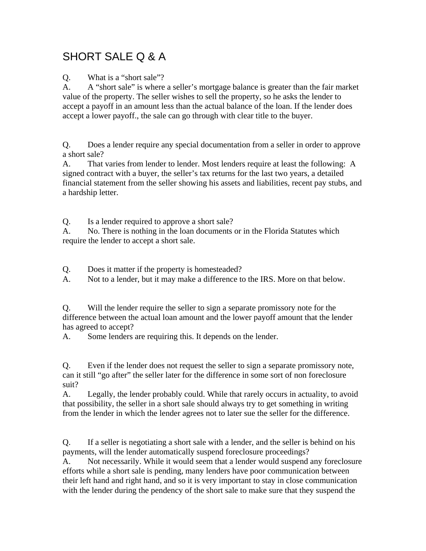## SHORT SALE Q & A

Q. What is a "short sale"?

A. A "short sale" is where a seller's mortgage balance is greater than the fair market value of the property. The seller wishes to sell the property, so he asks the lender to accept a payoff in an amount less than the actual balance of the loan. If the lender does accept a lower payoff., the sale can go through with clear title to the buyer.

Q. Does a lender require any special documentation from a seller in order to approve a short sale?

A. That varies from lender to lender. Most lenders require at least the following: A signed contract with a buyer, the seller's tax returns for the last two years, a detailed financial statement from the seller showing his assets and liabilities, recent pay stubs, and a hardship letter.

Q. Is a lender required to approve a short sale?

A. No. There is nothing in the loan documents or in the Florida Statutes which require the lender to accept a short sale.

Q. Does it matter if the property is homesteaded?

A. Not to a lender, but it may make a difference to the IRS. More on that below.

Q. Will the lender require the seller to sign a separate promissory note for the difference between the actual loan amount and the lower payoff amount that the lender has agreed to accept?

A. Some lenders are requiring this. It depends on the lender.

Q. Even if the lender does not request the seller to sign a separate promissory note, can it still "go after" the seller later for the difference in some sort of non foreclosure suit?

A. Legally, the lender probably could. While that rarely occurs in actuality, to avoid that possibility, the seller in a short sale should always try to get something in writing from the lender in which the lender agrees not to later sue the seller for the difference.

Q. If a seller is negotiating a short sale with a lender, and the seller is behind on his payments, will the lender automatically suspend foreclosure proceedings?

A. Not necessarily. While it would seem that a lender would suspend any foreclosure efforts while a short sale is pending, many lenders have poor communication between their left hand and right hand, and so it is very important to stay in close communication with the lender during the pendency of the short sale to make sure that they suspend the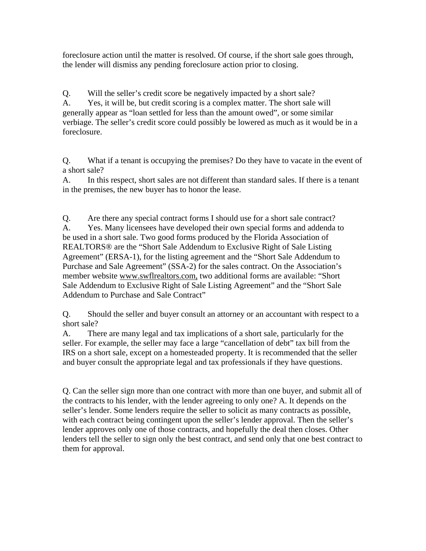foreclosure action until the matter is resolved. Of course, if the short sale goes through, the lender will dismiss any pending foreclosure action prior to closing.

Q. Will the seller's credit score be negatively impacted by a short sale? A. Yes, it will be, but credit scoring is a complex matter. The short sale will generally appear as "loan settled for less than the amount owed", or some similar verbiage. The seller's credit score could possibly be lowered as much as it would be in a foreclosure.

Q. What if a tenant is occupying the premises? Do they have to vacate in the event of a short sale?

A. In this respect, short sales are not different than standard sales. If there is a tenant in the premises, the new buyer has to honor the lease.

Q. Are there any special contract forms I should use for a short sale contract? A. Yes. Many licensees have developed their own special forms and addenda to be used in a short sale. Two good forms produced by the Florida Association of REALTORS® are the "Short Sale Addendum to Exclusive Right of Sale Listing Agreement" (ERSA-1), for the listing agreement and the "Short Sale Addendum to Purchase and Sale Agreement" (SSA-2) for the sales contract. On the Association's member website www.swflrealtors.com, two additional forms are available: "Short Sale Addendum to Exclusive Right of Sale Listing Agreement" and the "Short Sale Addendum to Purchase and Sale Contract"

Q. Should the seller and buyer consult an attorney or an accountant with respect to a short sale?

A. There are many legal and tax implications of a short sale, particularly for the seller. For example, the seller may face a large "cancellation of debt" tax bill from the IRS on a short sale, except on a homesteaded property. It is recommended that the seller and buyer consult the appropriate legal and tax professionals if they have questions.

Q. Can the seller sign more than one contract with more than one buyer, and submit all of the contracts to his lender, with the lender agreeing to only one? A. It depends on the seller's lender. Some lenders require the seller to solicit as many contracts as possible, with each contract being contingent upon the seller's lender approval. Then the seller's lender approves only one of those contracts, and hopefully the deal then closes. Other lenders tell the seller to sign only the best contract, and send only that one best contract to them for approval.